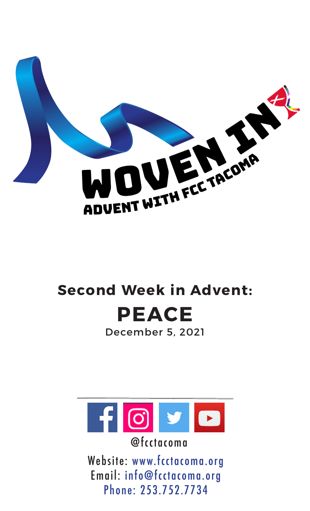

# **Second Week in Advent: PEACE**

December 5, 2021



@fcctacoma

Website: www.fcctacoma.org Email: info@fcctacoma.org Phone: 253.752.7734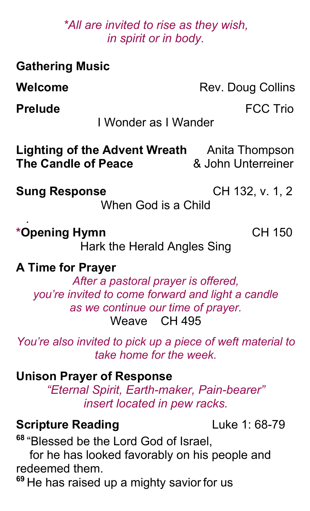#### *\*All are invited to rise as they wish, in spirit or in body.*

| <b>Gathering Music</b>                                                                                                                                                     |                                      |
|----------------------------------------------------------------------------------------------------------------------------------------------------------------------------|--------------------------------------|
| Welcome                                                                                                                                                                    | Rev. Doug Collins                    |
| <b>Prelude</b>                                                                                                                                                             | <b>FCC Trio</b>                      |
| I Wonder as I Wander                                                                                                                                                       |                                      |
| Lighting of the Advent Wreath<br><b>The Candle of Peace</b>                                                                                                                | Anita Thompson<br>& John Unterreiner |
| <b>Sung Response</b><br>When God is a Child                                                                                                                                | CH 132, v. 1, 2                      |
| *Opening Hymn<br>Hark the Herald Angles Sing                                                                                                                               | <b>CH 150</b>                        |
| <b>A Time for Prayer</b><br>After a pastoral prayer is offered,<br>you're invited to come forward and light a candle<br>as we continue our time of prayer.<br>Weave CH 495 |                                      |
| You're also invited to pick up a piece of weft material to<br>take home for the week.                                                                                      |                                      |
| <b>Unison Prayer of Response</b><br>"Eternal Spirit, Earth-maker, Pain-bearer"<br>insert located in pew racks.                                                             |                                      |

## **Scripture Reading** Luke 1: 68-79

**<sup>68</sup>** "Blessed be the Lord God of Israel,

 for he has looked favorably on his people and redeemed them.

**<sup>69</sup>** He has raised up a mighty savior for us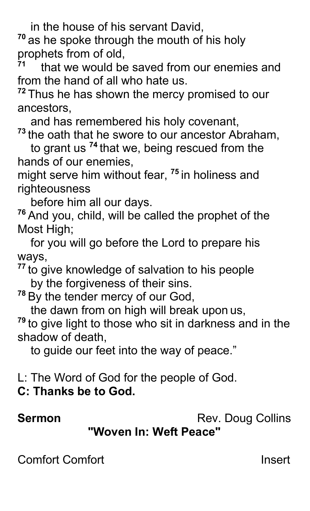in the house of his servant David,

**<sup>70</sup>** as he spoke through the mouth of his holy prophets from of old,

**<sup>71</sup>** that we would be saved from our enemies and from the hand of all who hate us.

**<sup>72</sup>** Thus he has shown the mercy promised to our ancestors,

and has remembered his holy covenant,

**<sup>73</sup>** the oath that he swore to our ancestor Abraham,

 to grant us **<sup>74</sup>** that we, being rescued from the hands of our enemies,

might serve him without fear, **<sup>75</sup>** in holiness and righteousness

before him all our days.

**<sup>76</sup>** And you, child, will be called the prophet of the Most High;

 for you will go before the Lord to prepare his ways,

**<sup>77</sup>** to give knowledge of salvation to his people by the forgiveness of their sins.

**<sup>78</sup>** By the tender mercy of our God,

the dawn from on high will break upon us,

**<sup>79</sup>** to give light to those who sit in darkness and in the shadow of death,

to guide our feet into the way of peace."

L: The Word of God for the people of God.

**C: Thanks be to God.**

**Sermon** Rev. Doug Collins

**"Woven In: Weft Peace"**

Comfort Comfort **Insert**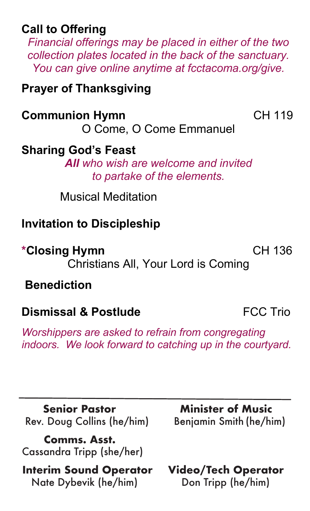#### **Call to Offering**

*Financial offerings may be placed in either of the two collection plates located in the back of the sanctuary. You can give online anytime at fcctacoma.org/give.*

#### **Prayer of Thanksgiving**

#### **Communion Hymn** CH 119

O Come, O Come Emmanuel

### **Sharing God's Feast**

*All who wish are welcome and invited to partake of the elements.*

Musical Meditation

### **Invitation to Discipleship**

**\*Closing Hymn** CH 136

Christians All, Your Lord is Coming

**Benediction**

### **Dismissal & Postlude FCC Trio**

*Worshippers are asked to refrain from congregating indoors. We look forward to catching up in the courtyard.*

**Senior Pastor Minister of Music** Rev. Doug Collins (he/him) Benjamin Smith (he/him)

 **Comms. Asst.**  Cassandra Tripp (she/her)

 **Interim Sound Operator Video/Tech Operator** Nate Dybevik (he/him) Don Tripp (he/him)